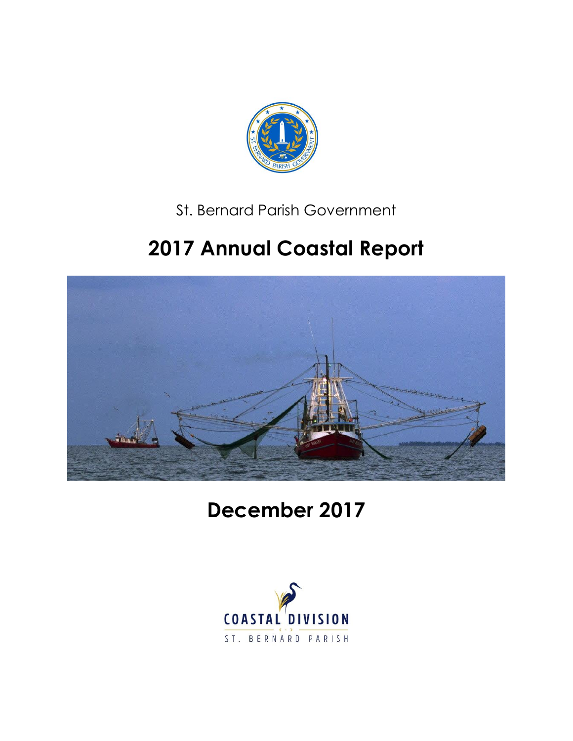

### St. Bernard Parish Government

# **2017 Annual Coastal Report**



**December 2017**

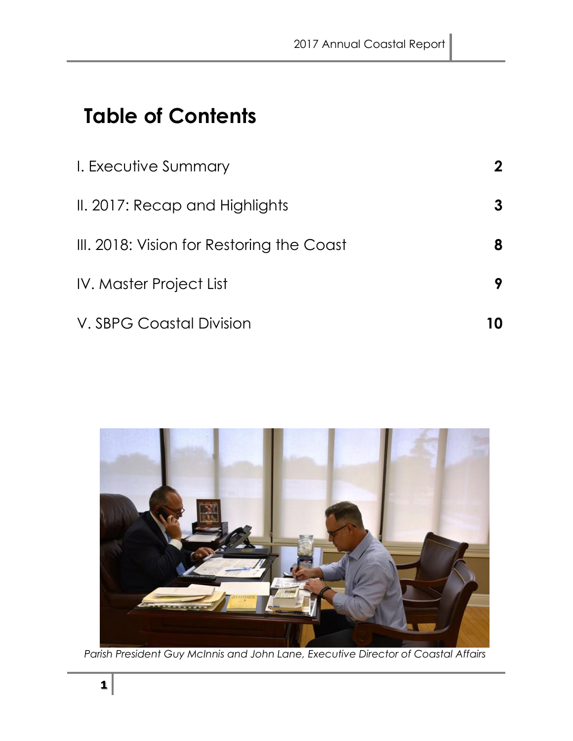# **Table of Contents**

| I. Executive Summary                      | $\mathbf 2$ |
|-------------------------------------------|-------------|
| II. 2017: Recap and Highlights            | 3           |
| III. 2018: Vision for Restoring the Coast | 8           |
| <b>IV. Master Project List</b>            | 9           |
| V. SBPG Coastal Division                  | 10          |



*Parish President Guy McInnis and John Lane, Executive Director of Coastal Affairs*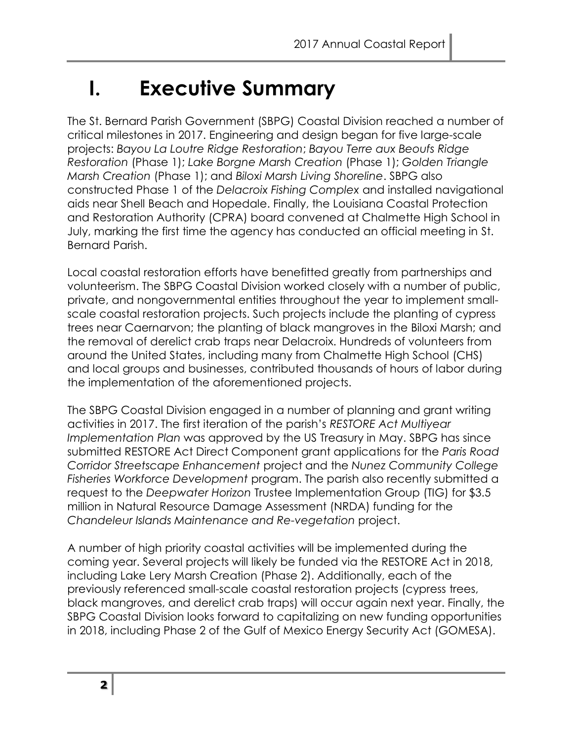# **I. Executive Summary**

The St. Bernard Parish Government (SBPG) Coastal Division reached a number of critical milestones in 2017. Engineering and design began for five large-scale projects: *Bayou La Loutre Ridge Restoration*; *Bayou Terre aux Beoufs Ridge Restoration* (Phase 1); *Lake Borgne Marsh Creation* (Phase 1); *Golden Triangle Marsh Creation* (Phase 1); and *Biloxi Marsh Living Shoreline*. SBPG also constructed Phase 1 of the *Delacroix Fishing Complex* and installed navigational aids near Shell Beach and Hopedale. Finally, the Louisiana Coastal Protection and Restoration Authority (CPRA) board convened at Chalmette High School in July, marking the first time the agency has conducted an official meeting in St. Bernard Parish.

Local coastal restoration efforts have benefitted greatly from partnerships and volunteerism. The SBPG Coastal Division worked closely with a number of public, private, and nongovernmental entities throughout the year to implement smallscale coastal restoration projects. Such projects include the planting of cypress trees near Caernarvon; the planting of black mangroves in the Biloxi Marsh; and the removal of derelict crab traps near Delacroix. Hundreds of volunteers from around the United States, including many from Chalmette High School (CHS) and local groups and businesses, contributed thousands of hours of labor during the implementation of the aforementioned projects.

The SBPG Coastal Division engaged in a number of planning and grant writing activities in 2017. The first iteration of the parish's *RESTORE Act Multiyear Implementation Plan* was approved by the US Treasury in May. SBPG has since submitted RESTORE Act Direct Component grant applications for the *Paris Road Corridor Streetscape Enhancement* project and the *Nunez Community College Fisheries Workforce Development* program. The parish also recently submitted a request to the *Deepwater Horizon* Trustee Implementation Group (TIG) for \$3.5 million in Natural Resource Damage Assessment (NRDA) funding for the *Chandeleur Islands Maintenance and Re-vegetation* project.

A number of high priority coastal activities will be implemented during the coming year. Several projects will likely be funded via the RESTORE Act in 2018, including Lake Lery Marsh Creation (Phase 2). Additionally, each of the previously referenced small-scale coastal restoration projects (cypress trees, black mangroves, and derelict crab traps) will occur again next year. Finally, the SBPG Coastal Division looks forward to capitalizing on new funding opportunities in 2018, including Phase 2 of the Gulf of Mexico Energy Security Act (GOMESA).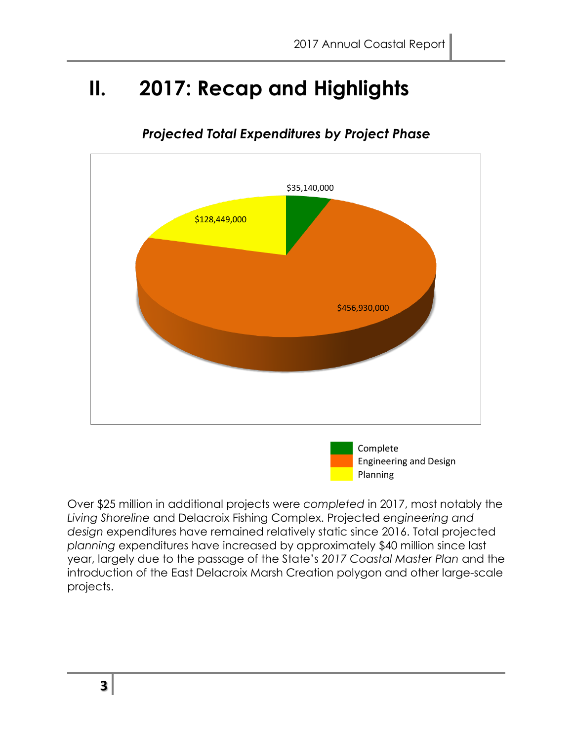Planning

### **II. 2017: Recap and Highlights**



#### *Projected Total Expenditures by Project Phase*

Over \$25 million in additional projects were *completed* in 2017, most notably the *Living Shoreline* and Delacroix Fishing Complex. Projected *engineering and design* expenditures have remained relatively static since 2016. Total projected *planning* expenditures have increased by approximately \$40 million since last year, largely due to the passage of the State's *2017 Coastal Master Plan* and the introduction of the East Delacroix Marsh Creation polygon and other large-scale projects.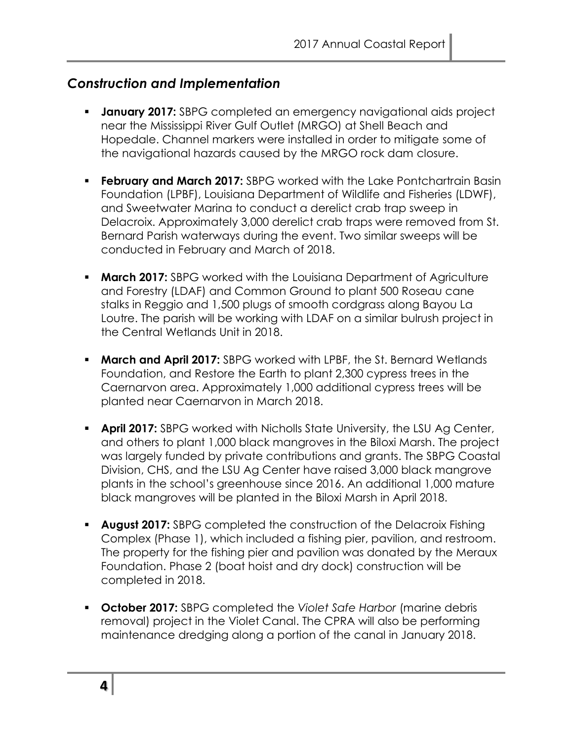#### *Construction and Implementation*

- **January 2017:** SBPG completed an emergency navigational aids project near the Mississippi River Gulf Outlet (MRGO) at Shell Beach and Hopedale. Channel markers were installed in order to mitigate some of the navigational hazards caused by the MRGO rock dam closure.
- **Ebruary and March 2017:** SBPG worked with the Lake Pontchartrain Basin Foundation (LPBF), Louisiana Department of Wildlife and Fisheries (LDWF), and Sweetwater Marina to conduct a derelict crab trap sweep in Delacroix. Approximately 3,000 derelict crab traps were removed from St. Bernard Parish waterways during the event. Two similar sweeps will be conducted in February and March of 2018.
- **March 2017:** SBPG worked with the Louisiana Department of Agriculture and Forestry (LDAF) and Common Ground to plant 500 Roseau cane stalks in Reggio and 1,500 plugs of smooth cordgrass along Bayou La Loutre. The parish will be working with LDAF on a similar bulrush project in the Central Wetlands Unit in 2018.
- **March and April 2017:** SBPG worked with LPBF, the St. Bernard Wetlands Foundation, and Restore the Earth to plant 2,300 cypress trees in the Caernarvon area. Approximately 1,000 additional cypress trees will be planted near Caernarvon in March 2018.
- **April 2017:** SBPG worked with Nicholls State University, the LSU Ag Center, and others to plant 1,000 black mangroves in the Biloxi Marsh. The project was largely funded by private contributions and grants. The SBPG Coastal Division, CHS, and the LSU Ag Center have raised 3,000 black mangrove plants in the school's greenhouse since 2016. An additional 1,000 mature black mangroves will be planted in the Biloxi Marsh in April 2018.
- **August 2017:** SBPG completed the construction of the Delacroix Fishing Complex (Phase 1), which included a fishing pier, pavilion, and restroom. The property for the fishing pier and pavilion was donated by the Meraux Foundation. Phase 2 (boat hoist and dry dock) construction will be completed in 2018.
- **October 2017:** SBPG completed the *Violet Safe Harbor* (marine debris removal) project in the Violet Canal. The CPRA will also be performing maintenance dredging along a portion of the canal in January 2018.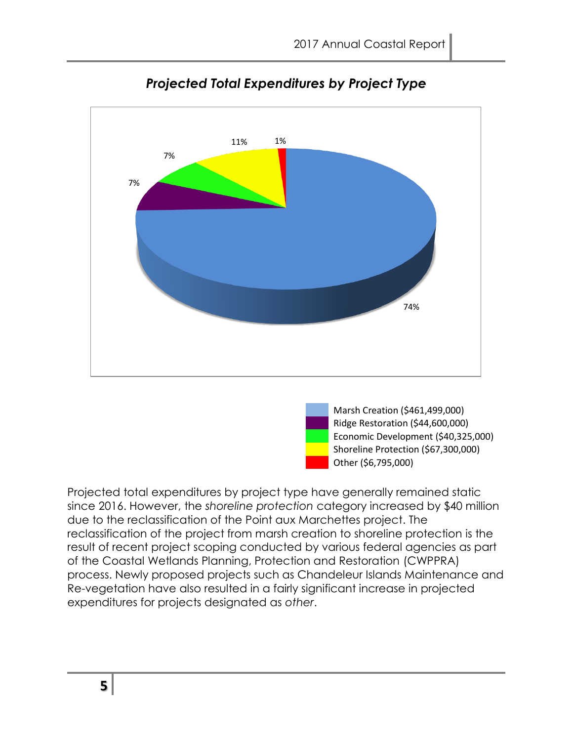

#### *Projected Total Expenditures by Project Type*



Projected total expenditures by project type have generally remained static since 2016. However, the *shoreline protection* category increased by \$40 million due to the reclassification of the Point aux Marchettes project. The reclassification of the project from marsh creation to shoreline protection is the result of recent project scoping conducted by various federal agencies as part of the Coastal Wetlands Planning, Protection and Restoration (CWPPRA) process. Newly proposed projects such as Chandeleur Islands Maintenance and Re-vegetation have also resulted in a fairly significant increase in projected expenditures for projects designated as *other*.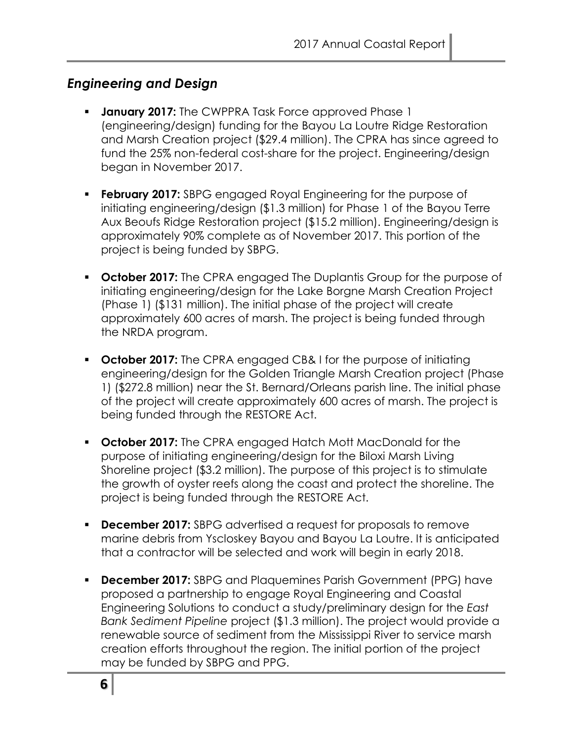#### *Engineering and Design*

- **January 2017:** The CWPPRA Task Force approved Phase 1 (engineering/design) funding for the Bayou La Loutre Ridge Restoration and Marsh Creation project (\$29.4 million). The CPRA has since agreed to fund the 25% non-federal cost-share for the project. Engineering/design began in November 2017.
- **February 2017:** SBPG engaged Royal Engineering for the purpose of initiating engineering/design (\$1.3 million) for Phase 1 of the Bayou Terre Aux Beoufs Ridge Restoration project (\$15.2 million). Engineering/design is approximately 90% complete as of November 2017. This portion of the project is being funded by SBPG.
- **October 2017:** The CPRA engaged The Duplantis Group for the purpose of initiating engineering/design for the Lake Borgne Marsh Creation Project (Phase 1) (\$131 million). The initial phase of the project will create approximately 600 acres of marsh. The project is being funded through the NRDA program.
- **October 2017:** The CPRA engaged CB& I for the purpose of initiating engineering/design for the Golden Triangle Marsh Creation project (Phase 1) (\$272.8 million) near the St. Bernard/Orleans parish line. The initial phase of the project will create approximately 600 acres of marsh. The project is being funded through the RESTORE Act.
- **October 2017:** The CPRA engaged Hatch Mott MacDonald for the purpose of initiating engineering/design for the Biloxi Marsh Living Shoreline project (\$3.2 million). The purpose of this project is to stimulate the growth of oyster reefs along the coast and protect the shoreline. The project is being funded through the RESTORE Act.
- **December 2017:** SBPG advertised a request for proposals to remove marine debris from Yscloskey Bayou and Bayou La Loutre. It is anticipated that a contractor will be selected and work will begin in early 2018.
- **December 2017:** SBPG and Plaquemines Parish Government (PPG) have proposed a partnership to engage Royal Engineering and Coastal Engineering Solutions to conduct a study/preliminary design for the *East Bank Sediment Pipeline* project (\$1.3 million). The project would provide a renewable source of sediment from the Mississippi River to service marsh creation efforts throughout the region. The initial portion of the project may be funded by SBPG and PPG.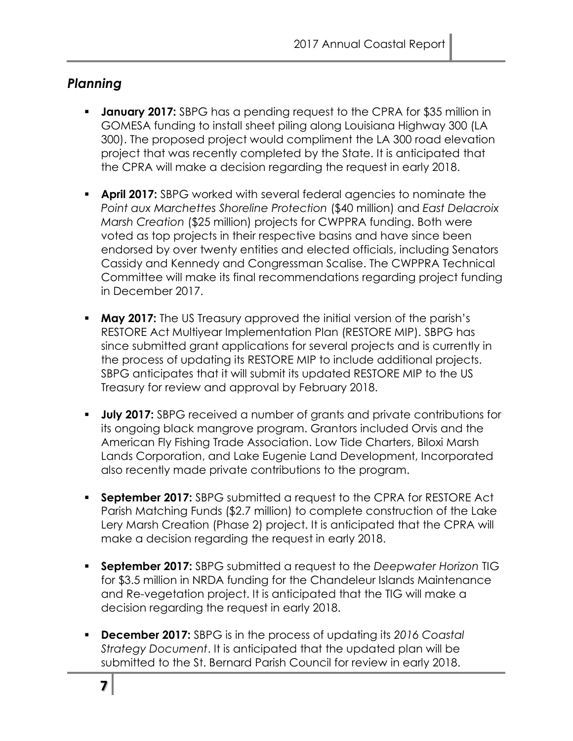#### *Planning*

- **January 2017:** SBPG has a pending request to the CPRA for \$35 million in GOMESA funding to install sheet piling along Louisiana Highway 300 (LA 300). The proposed project would compliment the LA 300 road elevation project that was recently completed by the State. It is anticipated that the CPRA will make a decision regarding the request in early 2018.
- **April 2017:** SBPG worked with several federal agencies to nominate the *Point aux Marchettes Shoreline Protection* (\$40 million) and *East Delacroix Marsh Creation* (\$25 million) projects for CWPPRA funding. Both were voted as top projects in their respective basins and have since been endorsed by over twenty entities and elected officials, including Senators Cassidy and Kennedy and Congressman Scalise. The CWPPRA Technical Committee will make its final recommendations regarding project funding in December 2017.
- **May 2017:** The US Treasury approved the initial version of the parish's RESTORE Act Multiyear Implementation Plan (RESTORE MIP). SBPG has since submitted grant applications for several projects and is currently in the process of updating its RESTORE MIP to include additional projects. SBPG anticipates that it will submit its updated RESTORE MIP to the US Treasury for review and approval by February 2018.
- **July 2017:** SBPG received a number of grants and private contributions for its ongoing black mangrove program. Grantors included Orvis and the American Fly Fishing Trade Association. Low Tide Charters, Biloxi Marsh Lands Corporation, and Lake Eugenie Land Development, Incorporated also recently made private contributions to the program.
- **September 2017:** SBPG submitted a request to the CPRA for RESTORE Act Parish Matching Funds (\$2.7 million) to complete construction of the Lake Lery Marsh Creation (Phase 2) project. It is anticipated that the CPRA will make a decision regarding the request in early 2018.
- **September 2017:** SBPG submitted a request to the *Deepwater Horizon* TIG for \$3.5 million in NRDA funding for the Chandeleur Islands Maintenance and Re-vegetation project. It is anticipated that the TIG will make a decision regarding the request in early 2018.
- **December 2017:** SBPG is in the process of updating its *2016 Coastal Strategy Document*. It is anticipated that the updated plan will be submitted to the St. Bernard Parish Council for review in early 2018.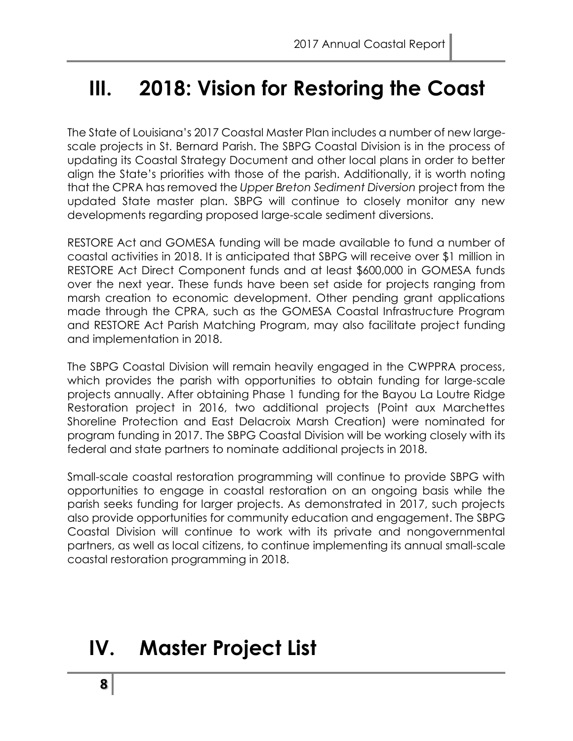### **III. 2018: Vision for Restoring the Coast**

The State of Louisiana's 2017 Coastal Master Plan includes a number of new largescale projects in St. Bernard Parish. The SBPG Coastal Division is in the process of updating its Coastal Strategy Document and other local plans in order to better align the State's priorities with those of the parish. Additionally, it is worth noting that the CPRA has removed the *Upper Breton Sediment Diversion* project from the updated State master plan. SBPG will continue to closely monitor any new developments regarding proposed large-scale sediment diversions.

RESTORE Act and GOMESA funding will be made available to fund a number of coastal activities in 2018. It is anticipated that SBPG will receive over \$1 million in RESTORE Act Direct Component funds and at least \$600,000 in GOMESA funds over the next year. These funds have been set aside for projects ranging from marsh creation to economic development. Other pending grant applications made through the CPRA, such as the GOMESA Coastal Infrastructure Program and RESTORE Act Parish Matching Program, may also facilitate project funding and implementation in 2018.

The SBPG Coastal Division will remain heavily engaged in the CWPPRA process, which provides the parish with opportunities to obtain funding for large-scale projects annually. After obtaining Phase 1 funding for the Bayou La Loutre Ridge Restoration project in 2016, two additional projects (Point aux Marchettes Shoreline Protection and East Delacroix Marsh Creation) were nominated for program funding in 2017. The SBPG Coastal Division will be working closely with its federal and state partners to nominate additional projects in 2018.

Small-scale coastal restoration programming will continue to provide SBPG with opportunities to engage in coastal restoration on an ongoing basis while the parish seeks funding for larger projects. As demonstrated in 2017, such projects also provide opportunities for community education and engagement. The SBPG Coastal Division will continue to work with its private and nongovernmental partners, as well as local citizens, to continue implementing its annual small-scale coastal restoration programming in 2018.

## **IV. Master Project List**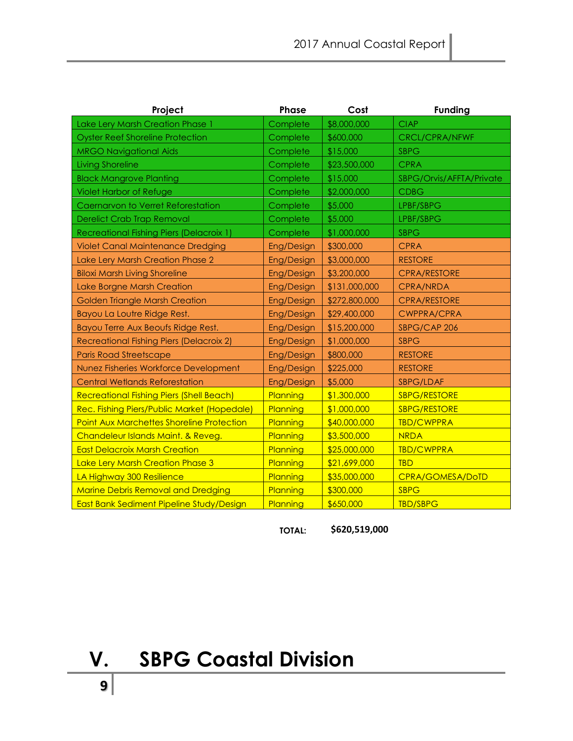| Project                                          | <b>Phase</b>      | Cost          | <b>Funding</b>           |
|--------------------------------------------------|-------------------|---------------|--------------------------|
| Lake Lery Marsh Creation Phase 1                 | Complete          | \$8,000,000   | <b>CIAP</b>              |
| <b>Oyster Reef Shoreline Protection</b>          | Complete          | \$600,000     | <b>CRCL/CPRA/NFWF</b>    |
| <b>MRGO Navigational Aids</b>                    | Complete          | \$15,000      | <b>SBPG</b>              |
| <b>Living Shoreline</b>                          | Complete          | \$23,500,000  | <b>CPRA</b>              |
| <b>Black Mangrove Planting</b>                   | Complete          | \$15,000      | SBPG/Orvis/AFFTA/Private |
| <b>Violet Harbor of Refuge</b>                   | Complete          | \$2,000,000   | <b>CDBG</b>              |
| Caernarvon to Verret Reforestation               | Complete          | \$5,000       | LPBF/SBPG                |
| <b>Derelict Crab Trap Removal</b>                | Complete          | \$5,000       | LPBF/SBPG                |
| Recreational Fishing Piers (Delacroix 1)         | Complete          | \$1,000,000   | <b>SBPG</b>              |
| <b>Violet Canal Maintenance Dredging</b>         | <b>Eng/Design</b> | \$300,000     | <b>CPRA</b>              |
| Lake Lery Marsh Creation Phase 2                 | Eng/Design        | \$3,000,000   | <b>RESTORE</b>           |
| <b>Biloxi Marsh Living Shoreline</b>             | Eng/Design        | \$3,200,000   | <b>CPRA/RESTORE</b>      |
| Lake Borgne Marsh Creation                       | Eng/Design        | \$131,000,000 | CPRA/NRDA                |
| <b>Golden Triangle Marsh Creation</b>            | Eng/Design        | \$272,800,000 | <b>CPRA/RESTORE</b>      |
| Bayou La Loutre Ridge Rest.                      | Eng/Design        | \$29,400,000  | <b>CWPPRA/CPRA</b>       |
| Bayou Terre Aux Beoufs Ridge Rest.               | Eng/Design        | \$15,200,000  | SBPG/CAP 206             |
| Recreational Fishing Piers (Delacroix 2)         | Eng/Design        | \$1,000,000   | <b>SBPG</b>              |
| <b>Paris Road Streetscape</b>                    | Eng/Design        | \$800,000     | <b>RESTORE</b>           |
| Nunez Fisheries Workforce Development            | Eng/Design        | \$225,000     | <b>RESTORE</b>           |
| <b>Central Wetlands Reforestation</b>            | Eng/Design        | \$5,000       | SBPG/LDAF                |
| <b>Recreational Fishing Piers (Shell Beach)</b>  | Planning          | \$1,300,000   | <b>SBPG/RESTORE</b>      |
| Rec. Fishing Piers/Public Market (Hopedale)      | Planning          | \$1,000,000   | <b>SBPG/RESTORE</b>      |
| <b>Point Aux Marchettes Shoreline Protection</b> | Planning          | \$40,000,000  | <b>TBD/CWPPRA</b>        |
| Chandeleur Islands Maint. & Reveg.               | Planning          | \$3,500,000   | <b>NRDA</b>              |
| <b>East Delacroix Marsh Creation</b>             | Planning          | \$25,000,000  | <b>TBD/CWPPRA</b>        |
| Lake Lery Marsh Creation Phase 3                 | Planning          | \$21,699,000  | <b>TBD</b>               |
| LA Highway 300 Resilience                        | Planning          | \$35,000,000  | CPRA/GOMESA/DoTD         |
| <b>Marine Debris Removal and Dredging</b>        | Planning          | \$300,000     | <b>SBPG</b>              |
| East Bank Sediment Pipeline Study/Design         | Planning          | \$650,000     | <b>TBD/SBPG</b>          |

**TOTAL: \$620,519,000** 

**V. SBPG Coastal Division**